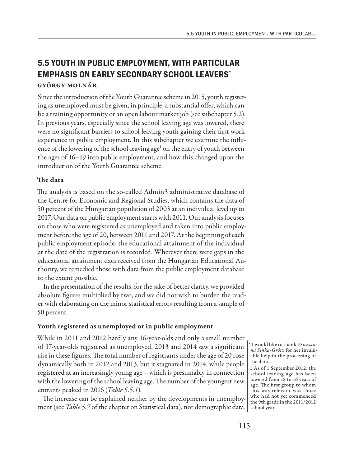# **5.5 YOUTH IN PUBLIC EMPLOYMENT, WITH PARTICULAR EMPHASIS ON EARLY SECONDARY SCHOOL LEAVERS\*** György Molnár

Since the introduction of the Youth Guarantee scheme in 2015, youth registering as unemployed must be given, in principle, a substantial offer, which can be a training opportunity or an open labour market job (see subchapter 5.2). In previous years, especially since the school leaving age was lowered, there were no significant barriers to school-leaving youth gaining their first work experience in public employment. In this subchapter we examine the influence of the lowering of the school-leaving age<sup>1</sup> on the entry of youth between the ages of 16–19 into public employment, and how this changed upon the introduction of the Youth Guarantee scheme.

## The data

The analysis is based on the so-called Admin3 administrative database of the Centre for Economic and Regional Studies, which contains the data of 50 percent of the Hungarian population of 2003 at an individual level up to 2017. Our data on public employment starts with 2011. Our analysis focuses on those who were registered as unemployed and taken into public employment before the age of 20, between 2011 and 2017. At the beginning of each public employment episode, the educational attainment of the individual at the date of the registration is recorded. Wherever there were gaps in the educational attainment data received from the Hungarian Educational Authority, we remedied those with data from the public employment database to the extent possible.

In the presentation of the results, for the sake of better clarity, we provided absolute figures multiplied by two, and we did not wish to burden the reader with elaborating on the minor statistical errors resulting from a sample of 50 percent.

## Youth registered as unemployed or in public employment

While in 2011 and 2012 hardly any 16-year-olds and only a small number of 17-year-olds registered as unemployed, 2013 and 2014 saw a significant rise in these figures. The total number of registrants under the age of 20 rose dynamically both in 2012 and 2013, but it stagnated in 2014, while people registered at an increasingly young age – which is presumably in connection with the lowering of the school leaving age. The number of the youngest new entrants peaked in 2016 (*Table 5.5.1*)*.*

The increase can be explained neither by the developments in unemployment (see *Table 5.7* of the chapter on Statistical data), nor demographic data.  $\vert$  school year.

\* I would like to thank *Zsuzsanna Sinka-Grósz* for her invaluable help in the processing of the data.

1 As of 1 September 2012, the school-leaving age has been lowered from 18 to 16 years of age. The first group to whom this was relevant was those who had not yet commenced the 9th grade in the 2011/2012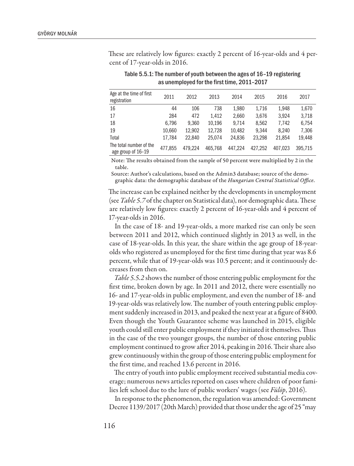These are relatively low figures: exactly 2 percent of 16-year-olds and 4 percent of 17-year-olds in 2016.

| Age at the time of first<br>registration      | 2011    | 2012    | 2013    | 2014    | 2015    | 2016    | 2017    |
|-----------------------------------------------|---------|---------|---------|---------|---------|---------|---------|
| 16                                            | 44      | 106     | 738     | 1.980   | 1.716   | 1.948   | 1,670   |
| 17                                            | 284     | 472     | 1.412   | 2.660   | 3.676   | 3.924   | 3,718   |
| 18                                            | 6.796   | 9.360   | 10.196  | 9.714   | 8.562   | 7.742   | 6.754   |
| 19                                            | 10.660  | 12.902  | 12,728  | 10,482  | 9.344   | 8.240   | 7,306   |
| Total                                         | 17.784  | 22.840  | 25.074  | 24.836  | 23.298  | 21.854  | 19.448  |
| The total number of the<br>age group of 16-19 | 477.855 | 479.224 | 465.768 | 447.224 | 427.252 | 407.023 | 395.715 |

Table 5.5.1: The number of youth between the ages of 16–19 registering as unemployed for the first time, 2011–2017

Note: The results obtained from the sample of 50 percent were multiplied by 2 in the table.

Source: Author's calculations, based on the Admin3 database; source of the demographic data: the demographic database of the *Hungarian Central Statistical Office*.

The increase can be explained neither by the developments in unemployment (see *Table 5.7* of the chapter on Statistical data), nor demographic data. These are relatively low figures: exactly 2 percent of 16-year-olds and 4 percent of 17-year-olds in 2016.

In the case of 18- and 19-year-olds, a more marked rise can only be seen between 2011 and 2012, which continued slightly in 2013 as well, in the case of 18-year-olds. In this year, the share within the age group of 18-yearolds who registered as unemployed for the first time during that year was 8.6 percent, while that of 19-year-olds was 10.5 percent; and it continuously decreases from then on.

*Table 5.5.2* shows the number of those entering public employment for the first time, broken down by age. In 2011 and 2012, there were essentially no 16- and 17-year-olds in public employment, and even the number of 18- and 19-year-olds was relatively low. The number of youth entering public employment suddenly increased in 2013, and peaked the next year at a figure of 8400. Even though the Youth Guarantee scheme was launched in 2015, eligible youth could still enter public employment if they initiated it themselves. Thus in the case of the two younger groups, the number of those entering public employment continued to grow after 2014, peaking in 2016. Their share also grew continuously within the group of those entering public employment for the first time, and reached 13.6 percent in 2016.

The entry of youth into public employment received substantial media coverage; numerous news articles reported on cases where children of poor families left school due to the lure of public workers' wages (see *Fülöp*, 2016).

In response to the phenomenon, the regulation was amended: Government Decree 1139/2017 (20th March) provided that those under the age of 25 "may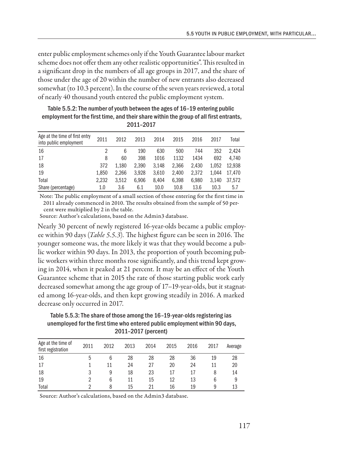enter public employment schemes only if the Youth Guarantee labour market scheme does not offer them any other realistic opportunities". This resulted in a significant drop in the numbers of all age groups in 2017, and the share of those under the age of 20 within the number of new entrants also decreased somewhat (to 10.3 percent). In the course of the seven years reviewed, a total of nearly 40 thousand youth entered the public employment system.

Table 5.5.2: The number of youth between the ages of 16–19 entering public employment for the first time, and their share within the group of all first entrants, 2011–2017

| Age at the time of first entry<br>into public employment | 2011  | 2012  | 2013  | 2014  | 2015  | 2016  | 2017  | Total  |
|----------------------------------------------------------|-------|-------|-------|-------|-------|-------|-------|--------|
| 16                                                       |       | 6     | 190   | 630   | 500   | 744   | 352   | 2.424  |
| 17                                                       | 8     | 60    | 398   | 1016  | 1132  | 1434  | 692   | 4.740  |
| 18                                                       | 372   | 1.180 | 2.390 | 3.148 | 2.366 | 2.430 | 1.052 | 12.938 |
| 19                                                       | 1.850 | 2.266 | 3.928 | 3.610 | 2.400 | 2.372 | 1.044 | 17.470 |
| Total                                                    | 2.232 | 3.512 | 6.906 | 8.404 | 6.398 | 6.980 | 3.140 | 37.572 |
| Share (percentage)                                       | 1.0   | 3.6   | 6.1   | 10.0  | 10.8  | 13.6  | 10.3  | 5.7    |

Note: The public employment of a small section of those entering for the first time in 2011 already commenced in 2010. The results obtained from the sample of 50 percent were multiplied by 2 in the table.

Source: Author's calculations, based on the Admin3 database.

Nearly 30 percent of newly registered 16-year-olds became a public employee within 90 days (*Table 5.5.3*)*.* The highest figure can be seen in 2016. The younger someone was, the more likely it was that they would become a public worker within 90 days. In 2013, the proportion of youth becoming public workers within three months rose significantly, and this trend kept growing in 2014, when it peaked at 21 percent. It may be an effect of the Youth Guarantee scheme that in 2015 the rate of those starting public work early decreased somewhat among the age group of 17–19-year-olds, but it stagnated among 16-year-olds, and then kept growing steadily in 2016. A marked decrease only occurred in 2017.

Table 5.5.3: The share of those among the 16–19-year-olds registering ias unemployed for the first time who entered public employment within 90 days, 2011–2017 (percent)

| Age at the time of<br>first registration | 2011 | 2012 | 2013 | 2014 | 2015 | 2016 | 2017 | Average |
|------------------------------------------|------|------|------|------|------|------|------|---------|
| 16                                       | 5    | 6    | 28   | 28   | 28   | 36   | 19   | 28      |
| 17                                       |      | 11   | 24   | 27   | 20   | 24   | 11   | 20      |
| 18                                       |      | 9    | 18   | 23   | 17   | 17   | 8    | 14      |
| 19                                       |      | 6    | 11   | 15   | 12   | 13   | 6    | 9       |
| Total                                    |      | 8    | 15   |      | 16   | 19   | 9    | 13      |

Source: Author's calculations, based on the Admin3 database.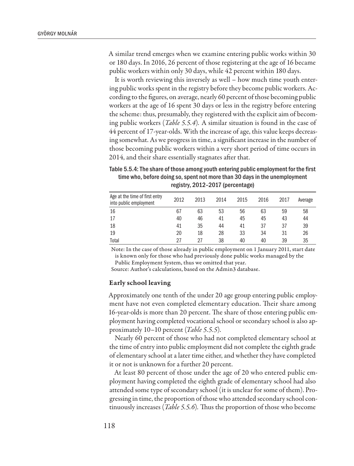A similar trend emerges when we examine entering public works within 30 or 180 days. In 2016, 26 percent of those registering at the age of 16 became public workers within only 30 days, while 42 percent within 180 days.

It is worth reviewing this inversely as well – how much time youth entering public works spent in the registry before they become public workers. According to the figures, on average, nearly 60 percent of those becoming public workers at the age of 16 spent 30 days or less in the registry before entering the scheme: thus, presumably, they registered with the explicit aim of becoming public workers (*Table 5.5.4*)*.* A similar situation is found in the case of 44 percent of 17-year-olds. With the increase of age, this value keeps decreasing somewhat. As we progress in time, a significant increase in the number of those becoming public workers within a very short period of time occurs in 2014, and their share essentially stagnates after that.

Table 5.5.4: The share of those among youth entering public employment for the first time who, before doing so, spent not more than 30 days in the unemployment registry, 2012–2017 (percentage)

| Age at the time of first entry<br>into public employment | 2012 | 2013 | 2014 | 2015 | 2016 | 2017 | Average |
|----------------------------------------------------------|------|------|------|------|------|------|---------|
| 16                                                       | 67   | 63   | 53   | 56   | 63   | 59   | 58      |
| 17                                                       | 40   | 46   | 41   | 45   | 45   | 43   | 44      |
| 18                                                       | 41   | 35   | 44   | 41   | 37   | 37   | 39      |
| 19                                                       | 20   | 18   | 28   | 33   | 34   | 31   | 26      |
| Total                                                    | 27   | 27   | 38   | 40   | 40   | 39   | 35      |

Note: In the case of those already in public employment on 1 January 2011, start date is known only for those who had previously done public works managed by the Public Employment System, thus we omitted that year.

Source: Author's calculations, based on the Admin3 database.

## Early school leaving

Approximately one tenth of the under 20 age group entering public employment have not even completed elementary education. Their share among 16-year-olds is more than 20 percent. The share of those entering public employment having completed vocational school or secondary school is also approximately 10–10 percent (*Table 5.5.5*)*.*

Nearly 60 percent of those who had not completed elementary school at the time of entry into public employment did not complete the eighth grade of elementary school at a later time either, and whether they have completed it or not is unknown for a further 20 percent.

At least 80 percent of those under the age of 20 who entered public employment having completed the eighth grade of elementary school had also attended some type of secondary school (it is unclear for some of them). Progressing in time, the proportion of those who attended secondary school continuously increases (*Table 5.5.6*)*.* Thus the proportion of those who become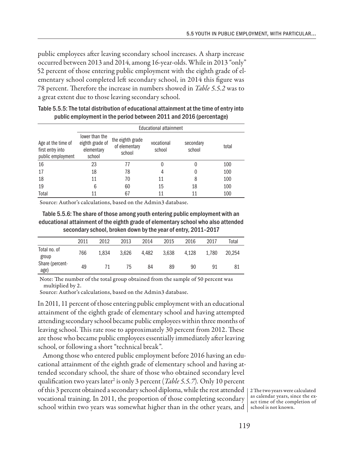public employees after leaving secondary school increases. A sharp increase occurred between 2013 and 2014, among 16-year-olds. While in 2013 "only" 52 percent of those entering public employment with the eighth grade of elementary school completed left secondary school, in 2014 this figure was 78 percent. Therefore the increase in numbers showed in *Table 5.5.2* was to a great extent due to those leaving secondary school.

|                                                             | Educational attainment                                    |                                             |                      |                     |       |  |  |  |  |
|-------------------------------------------------------------|-----------------------------------------------------------|---------------------------------------------|----------------------|---------------------|-------|--|--|--|--|
| Age at the time of<br>first entry into<br>public employment | lower than the<br>eighth grade of<br>elementary<br>school | the eighth grade<br>of elementary<br>school | vocational<br>school | secondary<br>school | total |  |  |  |  |
| 16                                                          | 23                                                        | 77                                          |                      |                     | 100   |  |  |  |  |
| 17                                                          | 18                                                        | 78                                          |                      |                     | 100   |  |  |  |  |
| 18                                                          | 11                                                        | 70                                          | 11                   | 8                   | 100   |  |  |  |  |
| 19                                                          | 6                                                         | 60                                          | 15                   | 18                  | 100   |  |  |  |  |
| Total                                                       | 11                                                        | 67                                          | 11                   | 11                  | 100   |  |  |  |  |

Table 5.5.5: The total distribution of educational attainment at the time of entry into public employment in the period between 2011 and 2016 (percentage)

Source: Author's calculations, based on the Admin3 database.

Table 5.5.6: The share of those among youth entering public employment with an educational attainment of the eighth grade of elementary school who also attended secondary school, broken down by the year of entry, 2011–2017

|                         | 2011 | 2012  | 2013  | 2014  | 2015  | 2016  | 2017  | Total  |
|-------------------------|------|-------|-------|-------|-------|-------|-------|--------|
| Total no. of<br>group   | 766  | 1.834 | 3.626 | 4.482 | 3.638 | 4.128 | 1.780 | 20.254 |
| Share (percent-<br>age) | 49   | 71    | 75    | 84    | 89    | 90    | 91    | 81     |

Note: The number of the total group obtained from the sample of 50 percent was multiplied by 2.

Source: Author's calculations, based on the Admin3 database.

In 2011, 11 percent of those entering public employment with an educational attainment of the eighth grade of elementary school and having attempted attending secondary school became public employees within three months of leaving school. This rate rose to approximately 30 percent from 2012. These are those who became public employees essentially immediately after leaving school, or following a short "technical break".

Among those who entered public employment before 2016 having an educational attainment of the eighth grade of elementary school and having attended secondary school, the share of those who obtained secondary level qualification two years later<sup>2</sup> is only 3 percent (*Table 5.5.7*). Only 10 percent of this 3 percent obtained a secondary school diploma, while the rest attended 2 The two years were calculated vocational training. In 2011, the proportion of those completing secondary school within two years was somewhat higher than in the other years, and  $\mid$  school is not known.

as calendar years, since the exact time of the completion of